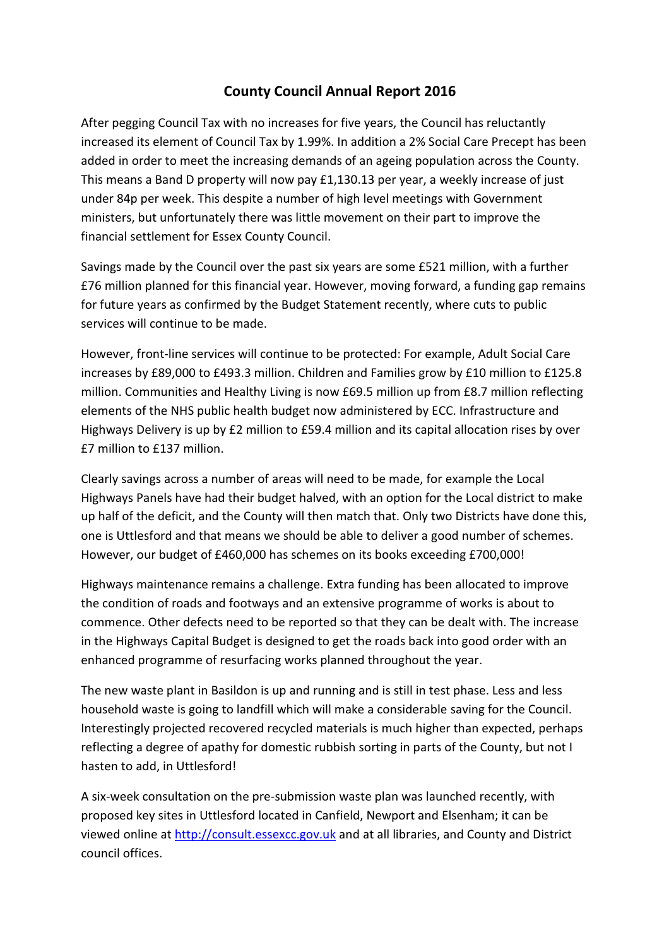## County Council Annual Report 2016

After pegging Council Tax with no increases for five years, the Council has reluctantly increased its element of Council Tax by 1.99%. In addition a 2% Social Care Precept has been added in order to meet the increasing demands of an ageing population across the County. This means a Band D property will now pay £1,130.13 per year, a weekly increase of just under 84p per week. This despite a number of high level meetings with Government ministers, but unfortunately there was little movement on their part to improve the financial settlement for Essex County Council.

Savings made by the Council over the past six years are some £521 million, with a further £76 million planned for this financial year. However, moving forward, a funding gap remains for future years as confirmed by the Budget Statement recently, where cuts to public services will continue to be made.

However, front-line services will continue to be protected: For example, Adult Social Care increases by £89,000 to £493.3 million. Children and Families grow by £10 million to £125.8 million. Communities and Healthy Living is now £69.5 million up from £8.7 million reflecting elements of the NHS public health budget now administered by ECC. Infrastructure and Highways Delivery is up by £2 million to £59.4 million and its capital allocation rises by over £7 million to £137 million.

Clearly savings across a number of areas will need to be made, for example the Local Highways Panels have had their budget halved, with an option for the Local district to make up half of the deficit, and the County will then match that. Only two Districts have done this, one is Uttlesford and that means we should be able to deliver a good number of schemes. However, our budget of £460,000 has schemes on its books exceeding £700,000!

Highways maintenance remains a challenge. Extra funding has been allocated to improve the condition of roads and footways and an extensive programme of works is about to commence. Other defects need to be reported so that they can be dealt with. The increase in the Highways Capital Budget is designed to get the roads back into good order with an enhanced programme of resurfacing works planned throughout the year.

The new waste plant in Basildon is up and running and is still in test phase. Less and less household waste is going to landfill which will make a considerable saving for the Council. Interestingly projected recovered recycled materials is much higher than expected, perhaps reflecting a degree of apathy for domestic rubbish sorting in parts of the County, but not I hasten to add, in Uttlesford!

A six-week consultation on the pre-submission waste plan was launched recently, with proposed key sites in Uttlesford located in Canfield, Newport and Elsenham; it can be viewed online at http://consult.essexcc.gov.uk and at all libraries, and County and District council offices.